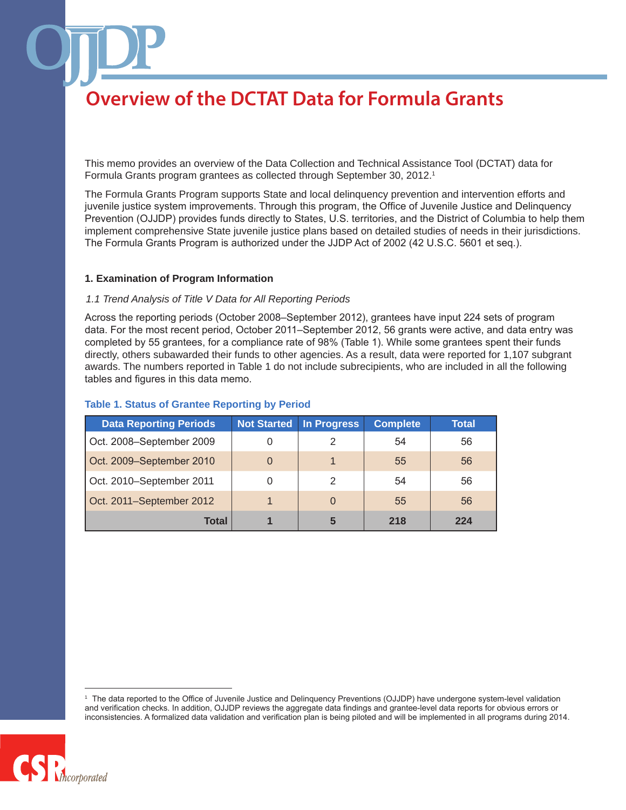This memo provides an overview of the Data Collection and Technical Assistance Tool (DCTAT) data for Formula Grants program grantees as collected through September 30, 2012.1

The Formula Grants Program supports State and local delinquency prevention and intervention efforts and juvenile justice system improvements. Through this program, the Office of Juvenile Justice and Delinquency Prevention (OJJDP) provides funds directly to States, U.S. territories, and the District of Columbia to help them implement comprehensive State juvenile justice plans based on detailed studies of needs in their jurisdictions. The Formula Grants Program is authorized under the JJDP Act of 2002 (42 U.S.C. 5601 et seq.).

#### **1. Examination of Program Information**

#### *1.1 Trend Analysis of Title V Data for All Reporting Periods*

Across the reporting periods (October 2008–September 2012), grantees have input 224 sets of program data. For the most recent period, October 2011–September 2012, 56 grants were active, and data entry was completed by 55 grantees, for a compliance rate of 98% (Table 1). While some grantees spent their funds directly, others subawarded their funds to other agencies. As a result, data were reported for 1,107 subgrant awards. The numbers reported in Table 1 do not include subrecipients, who are included in all the following tables and figures in this data memo.

| <b>Data Reporting Periods</b> | <b>Not Started</b> | <b>In Progress</b> | <b>Complete</b> | Total |
|-------------------------------|--------------------|--------------------|-----------------|-------|
| Oct. 2008-September 2009      |                    |                    | 54              | 56    |
| Oct. 2009-September 2010      | 0                  |                    | 55              | 56    |
| Oct. 2010-September 2011      |                    | 2                  | 54              | 56    |
| Oct. 2011-September 2012      |                    | $\Omega$           | 55              | 56    |
| Total                         |                    | 5                  | 218             | 224   |

#### **Table 1. Status of Grantee Reporting by Period**

<sup>1</sup> The data reported to the Office of Juvenile Justice and Delinquency Preventions (OJJDP) have undergone system-level validation and verification checks. In addition, OJJDP reviews the aggregate data findings and grantee-level data reports for obvious errors or inconsistencies. A formalized data validation and verification plan is being piloted and will be implemented in all programs during 2014.

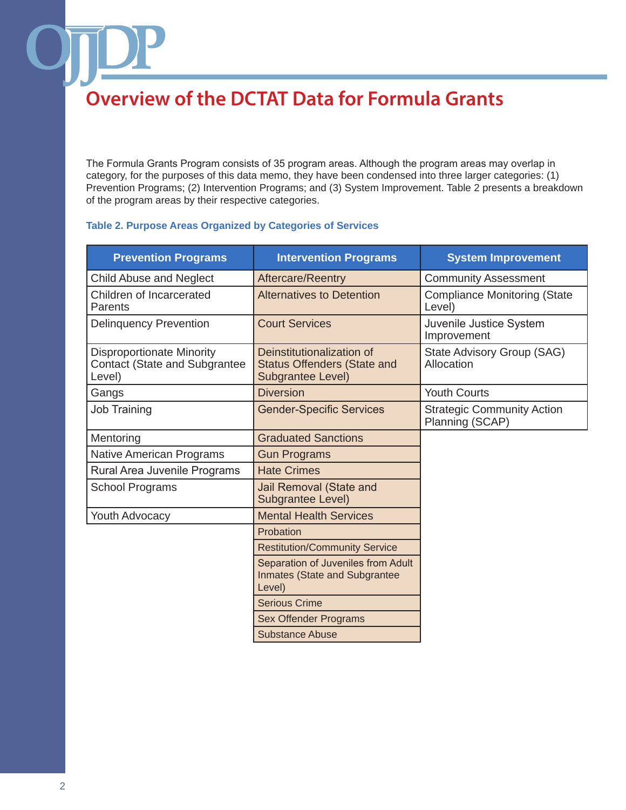The Formula Grants Program consists of 35 program areas. Although the program areas may overlap in category, for the purposes of this data memo, they have been condensed into three larger categories: (1) Prevention Programs; (2) Intervention Programs; and (3) System Improvement. Table 2 presents a breakdown of the program areas by their respective categories.

#### **Table 2. Purpose Areas Organized by Categories of Services**

| <b>Prevention Programs</b>                                                         | <b>Intervention Programs</b>                                                         | <b>System Improvement</b>                            |
|------------------------------------------------------------------------------------|--------------------------------------------------------------------------------------|------------------------------------------------------|
| <b>Child Abuse and Neglect</b>                                                     | Aftercare/Reentry                                                                    | <b>Community Assessment</b>                          |
| Children of Incarcerated<br>Parents                                                | <b>Alternatives to Detention</b>                                                     | <b>Compliance Monitoring (State</b><br>Level)        |
| <b>Delinquency Prevention</b>                                                      | <b>Court Services</b>                                                                | Juvenile Justice System<br>Improvement               |
| <b>Disproportionate Minority</b><br><b>Contact (State and Subgrantee</b><br>Level) | Deinstitutionalization of<br><b>Status Offenders (State and</b><br>Subgrantee Level) | State Advisory Group (SAG)<br>Allocation             |
| Gangs                                                                              | <b>Diversion</b>                                                                     | <b>Youth Courts</b>                                  |
| <b>Job Training</b>                                                                | <b>Gender-Specific Services</b>                                                      | <b>Strategic Community Action</b><br>Planning (SCAP) |
| Mentoring                                                                          | <b>Graduated Sanctions</b>                                                           |                                                      |
| <b>Native American Programs</b>                                                    | <b>Gun Programs</b>                                                                  |                                                      |
| Rural Area Juvenile Programs                                                       | <b>Hate Crimes</b>                                                                   |                                                      |
| <b>School Programs</b>                                                             | Jail Removal (State and<br>Subgrantee Level)                                         |                                                      |
| <b>Youth Advocacy</b>                                                              | <b>Mental Health Services</b>                                                        |                                                      |
|                                                                                    | Probation                                                                            |                                                      |
|                                                                                    | <b>Restitution/Community Service</b>                                                 |                                                      |
|                                                                                    | Separation of Juveniles from Adult<br>Inmates (State and Subgrantee<br>Level)        |                                                      |
|                                                                                    | <b>Serious Crime</b>                                                                 |                                                      |
|                                                                                    | <b>Sex Offender Programs</b>                                                         |                                                      |
|                                                                                    | <b>Substance Abuse</b>                                                               |                                                      |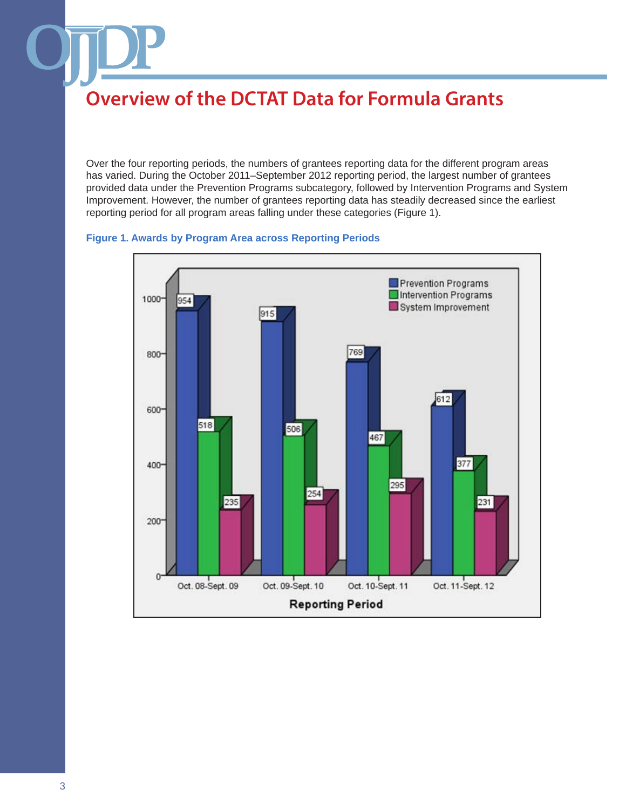Over the four reporting periods, the numbers of grantees reporting data for the different program areas has varied. During the October 2011–September 2012 reporting period, the largest number of grantees provided data under the Prevention Programs subcategory, followed by Intervention Programs and System Improvement. However, the number of grantees reporting data has steadily decreased since the earliest reporting period for all program areas falling under these categories (Figure 1).

#### **Figure 1. Awards by Program Area across Reporting Periods**

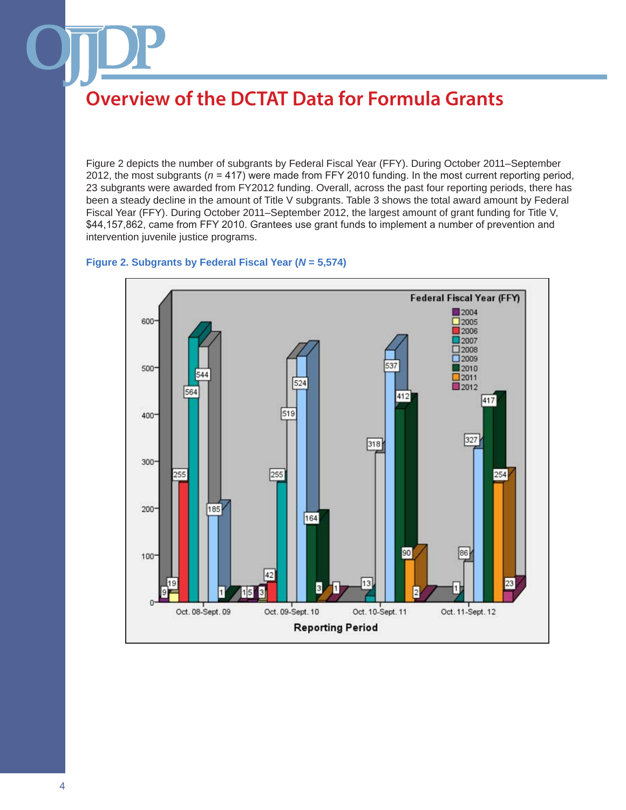Figure 2 depicts the number of subgrants by Federal Fiscal Year (FFY). During October 2011–September 2012, the most subgrants (*n* = 417) were made from FFY 2010 funding. In the most current reporting period, 23 subgrants were awarded from FY2012 funding. Overall, across the past four reporting periods, there has been a steady decline in the amount of Title V subgrants. Table 3 shows the total award amount by Federal Fiscal Year (FFY). During October 2011–September 2012, the largest amount of grant funding for Title V, \$44,157,862, came from FFY 2010. Grantees use grant funds to implement a number of prevention and intervention juvenile justice programs.

#### **Figure 2. Subgrants by Federal Fiscal Year (***N* **= 5,574)**

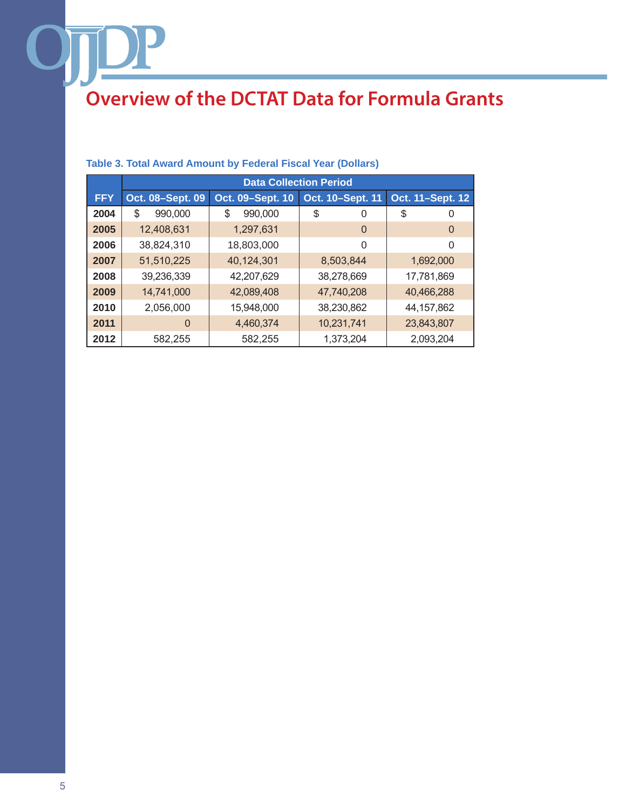|            | <b>Data Collection Period</b> |                  |                  |                  |
|------------|-------------------------------|------------------|------------------|------------------|
| <b>FFY</b> | Oct. 08-Sept. 09              | Oct. 09-Sept. 10 | Oct. 10-Sept. 11 | Oct. 11-Sept. 12 |
| 2004       | \$<br>990,000                 | 990,000<br>\$    | \$<br>0          | \$<br>0          |
| 2005       | 12,408,631                    | 1,297,631        | 0                | $\Omega$         |
| 2006       | 38,824,310                    | 18,803,000       | 0                | 0                |
| 2007       | 51,510,225                    | 40,124,301       | 8,503,844        | 1,692,000        |
| 2008       | 39,236,339                    | 42,207,629       | 38,278,669       | 17,781,869       |
| 2009       | 14,741,000                    | 42,089,408       | 47,740,208       | 40,466,288       |
| 2010       | 2,056,000                     | 15,948,000       | 38,230,862       | 44,157,862       |
| 2011       | $\Omega$                      | 4,460,374        | 10,231,741       | 23,843,807       |
| 2012       | 582,255                       | 582,255          | 1,373,204        | 2,093,204        |

#### **Table 3. Total Award Amount by Federal Fiscal Year (Dollars)**

DP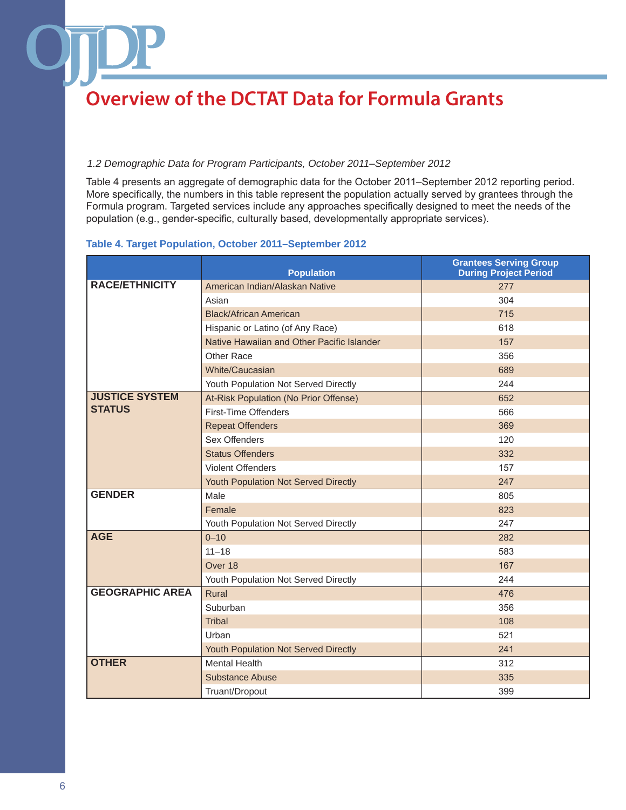#### *1.2 Demographic Data for Program Participants, October 2011–September 2012*

Table 4 presents an aggregate of demographic data for the October 2011–September 2012 reporting period. More specifically, the numbers in this table represent the population actually served by grantees through the Formula program. Targeted services include any approaches specifically designed to meet the needs of the population (e.g., gender-specific, culturally based, developmentally appropriate services).

#### **Table 4. Target Population, October 2011–September 2012**

|                        | <b>Population</b>                          | <b>Grantees Serving Group</b><br><b>During Project Period</b> |
|------------------------|--------------------------------------------|---------------------------------------------------------------|
| <b>RACE/ETHNICITY</b>  | American Indian/Alaskan Native             | 277                                                           |
|                        | Asian                                      | 304                                                           |
|                        | <b>Black/African American</b>              | 715                                                           |
|                        | Hispanic or Latino (of Any Race)           | 618                                                           |
|                        | Native Hawaiian and Other Pacific Islander | 157                                                           |
|                        | Other Race                                 | 356                                                           |
|                        | White/Caucasian                            | 689                                                           |
|                        | Youth Population Not Served Directly       | 244                                                           |
| <b>JUSTICE SYSTEM</b>  | At-Risk Population (No Prior Offense)      | 652                                                           |
| <b>STATUS</b>          | <b>First-Time Offenders</b>                | 566                                                           |
|                        | <b>Repeat Offenders</b>                    | 369                                                           |
|                        | Sex Offenders                              | 120                                                           |
|                        | <b>Status Offenders</b>                    | 332                                                           |
|                        | <b>Violent Offenders</b>                   | 157                                                           |
|                        | Youth Population Not Served Directly       | 247                                                           |
| <b>GENDER</b>          | Male                                       | 805                                                           |
|                        | Female                                     | 823                                                           |
|                        | Youth Population Not Served Directly       | 247                                                           |
| <b>AGE</b>             | $0 - 10$                                   | 282                                                           |
|                        | $11 - 18$                                  | 583                                                           |
|                        | Over 18                                    | 167                                                           |
|                        | Youth Population Not Served Directly       | 244                                                           |
| <b>GEOGRAPHIC AREA</b> | Rural                                      | 476                                                           |
|                        | Suburban                                   | 356                                                           |
|                        | <b>Tribal</b>                              | 108                                                           |
|                        | Urban                                      | 521                                                           |
|                        | Youth Population Not Served Directly       | 241                                                           |
| <b>OTHER</b>           | <b>Mental Health</b>                       | 312                                                           |
|                        | <b>Substance Abuse</b>                     | 335                                                           |
|                        | Truant/Dropout                             | 399                                                           |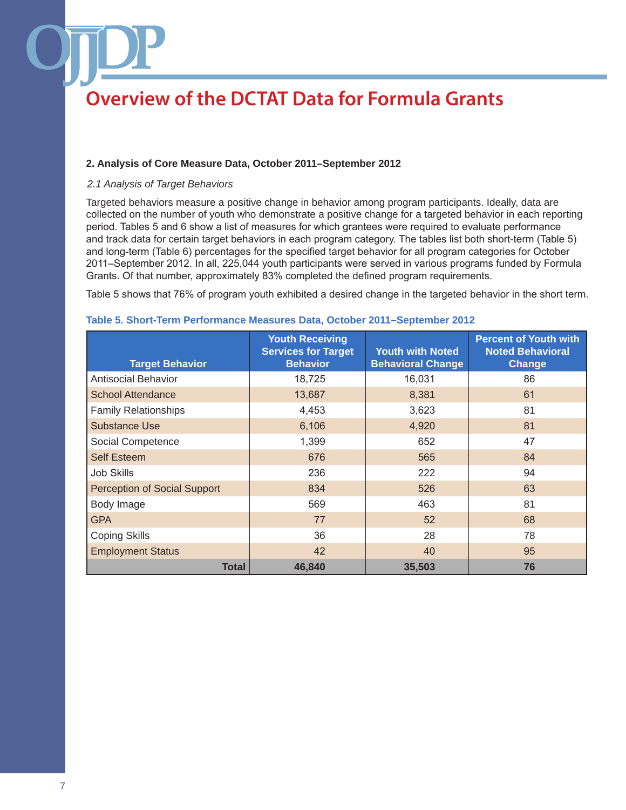#### **2. Analysis of Core Measure Data, October 2011–September 2012**

#### *2.1 Analysis of Target Behaviors*

Targeted behaviors measure a positive change in behavior among program participants. Ideally, data are collected on the number of youth who demonstrate a positive change for a targeted behavior in each reporting period. Tables 5 and 6 show a list of measures for which grantees were required to evaluate performance and track data for certain target behaviors in each program category. The tables list both short-term (Table 5) and long-term (Table 6) percentages for the specified target behavior for all program categories for October 2011–September 2012. In all, 225,044 youth participants were served in various programs funded by Formula Grants. Of that number, approximately 83% completed the defined program requirements.

Table 5 shows that 76% of program youth exhibited a desired change in the targeted behavior in the short term.

| <b>Target Behavior</b>       | <b>Youth Receiving</b><br><b>Services for Target</b><br><b>Behavior</b> | <b>Youth with Noted</b><br><b>Behavioral Change</b> | <b>Percent of Youth with</b><br><b>Noted Behavioral</b><br><b>Change</b> |
|------------------------------|-------------------------------------------------------------------------|-----------------------------------------------------|--------------------------------------------------------------------------|
| <b>Antisocial Behavior</b>   | 18,725                                                                  | 16,031                                              | 86                                                                       |
| <b>School Attendance</b>     | 13,687                                                                  | 8,381                                               | 61                                                                       |
| <b>Family Relationships</b>  | 4,453                                                                   | 3,623                                               | 81                                                                       |
| Substance Use                | 6,106                                                                   | 4,920                                               | 81                                                                       |
| Social Competence            | 1,399                                                                   | 652                                                 | 47                                                                       |
| <b>Self Esteem</b>           | 676                                                                     | 565                                                 | 84                                                                       |
| <b>Job Skills</b>            | 236                                                                     | 222                                                 | 94                                                                       |
| Perception of Social Support | 834                                                                     | 526                                                 | 63                                                                       |
| Body Image                   | 569                                                                     | 463                                                 | 81                                                                       |
| <b>GPA</b>                   | 77                                                                      | 52                                                  | 68                                                                       |
| <b>Coping Skills</b>         | 36                                                                      | 28                                                  | 78                                                                       |
| <b>Employment Status</b>     | 42                                                                      | 40                                                  | 95                                                                       |
| <b>Total</b>                 | 46.840                                                                  | 35,503                                              | 76                                                                       |

#### **Table 5. Short-Term Performance Measures Data, October 2011–September 2012**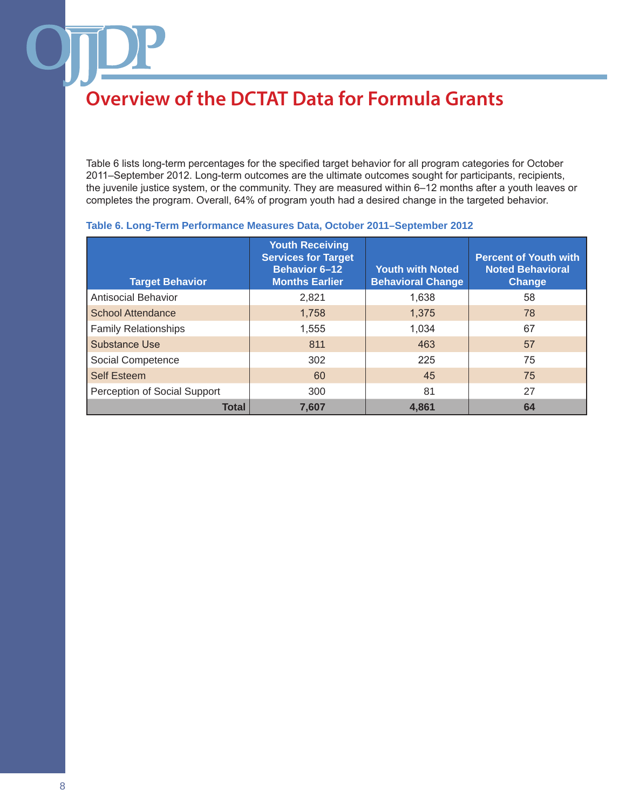Table 6 lists long-term percentages for the specified target behavior for all program categories for October 2011–September 2012. Long-term outcomes are the ultimate outcomes sought for participants, recipients, the juvenile justice system, or the community. They are measured within 6–12 months after a youth leaves or completes the program. Overall, 64% of program youth had a desired change in the targeted behavior.

| <b>Target Behavior</b>       | <b>Youth Receiving</b><br><b>Services for Target</b><br><b>Behavior 6-12</b><br><b>Months Earlier</b> | <b>Youth with Noted</b><br><b>Behavioral Change</b> | <b>Percent of Youth with</b><br><b>Noted Behavioral</b><br>Change |
|------------------------------|-------------------------------------------------------------------------------------------------------|-----------------------------------------------------|-------------------------------------------------------------------|
| Antisocial Behavior          | 2,821                                                                                                 | 1,638                                               | 58                                                                |
| <b>School Attendance</b>     | 1,758                                                                                                 | 1,375                                               | 78                                                                |
| <b>Family Relationships</b>  | 1,555                                                                                                 | 1,034                                               | 67                                                                |
| Substance Use                | 811                                                                                                   | 463                                                 | 57                                                                |
| Social Competence            | 302                                                                                                   | 225                                                 | 75                                                                |
| <b>Self Esteem</b>           | 60                                                                                                    | 45                                                  | 75                                                                |
| Perception of Social Support | 300                                                                                                   | 81                                                  | 27                                                                |
| <b>Total</b>                 | 7,607                                                                                                 | 4.861                                               | 64                                                                |

#### **Table 6. Long-Term Performance Measures Data, October 2011–September 2012**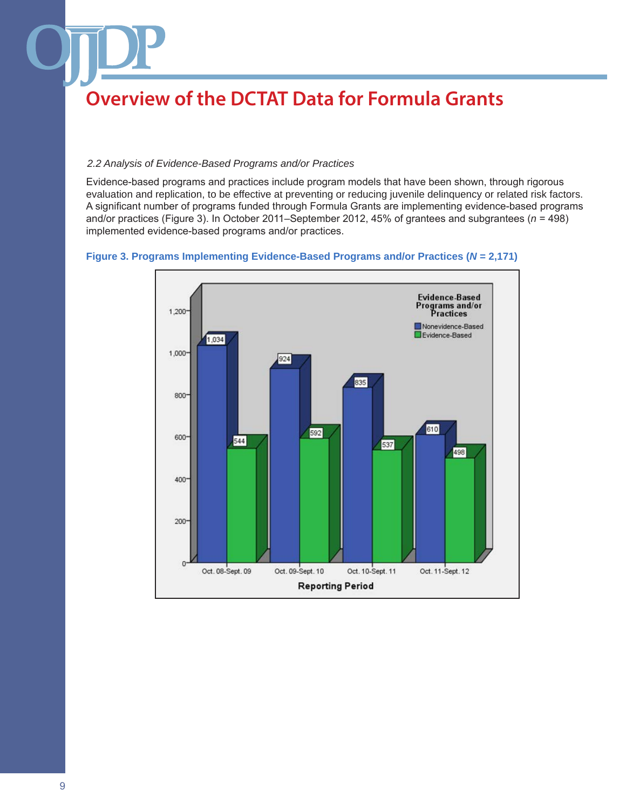#### *2.2 Analysis of Evidence-Based Programs and/or Practices*

Evidence-based programs and practices include program models that have been shown, through rigorous evaluation and replication, to be effective at preventing or reducing juvenile delinquency or related risk factors. A significant number of programs funded through Formula Grants are implementing evidence-based programs and/or practices (Figure 3). In October 2011–September 2012, 45% of grantees and subgrantees (*n* = 498) implemented evidence-based programs and/or practices.

#### **Figure 3. Programs Implementing Evidence-Based Programs and/or Practices (***N* **= 2,171)**

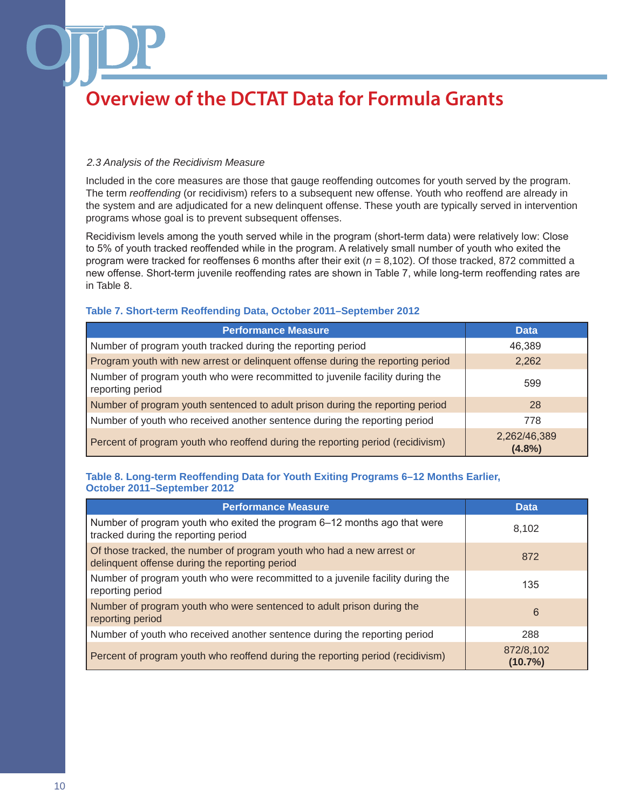#### *2.3 Analysis of the Recidivism Measure*

Included in the core measures are those that gauge reoffending outcomes for youth served by the program. The term *reoffending* (or recidivism) refers to a subsequent new offense. Youth who reoffend are already in the system and are adjudicated for a new delinquent offense. These youth are typically served in intervention programs whose goal is to prevent subsequent offenses.

Recidivism levels among the youth served while in the program (short-term data) were relatively low: Close to 5% of youth tracked reoffended while in the program. A relatively small number of youth who exited the program were tracked for reoffenses 6 months after their exit (*n* = 8,102). Of those tracked, 872 committed a new offense. Short-term juvenile reoffending rates are shown in Table 7, while long-term reoffending rates are in Table 8.

#### **Table 7. Short-term Reoffending Data, October 2011–September 2012**

| <b>Performance Measure</b>                                                                       | <b>Data</b>            |
|--------------------------------------------------------------------------------------------------|------------------------|
| Number of program youth tracked during the reporting period                                      | 46,389                 |
| Program youth with new arrest or delinquent offense during the reporting period                  | 2,262                  |
| Number of program youth who were recommitted to juvenile facility during the<br>reporting period | 599                    |
| Number of program youth sentenced to adult prison during the reporting period                    | 28                     |
| Number of youth who received another sentence during the reporting period                        | 778                    |
| Percent of program youth who reoffend during the reporting period (recidivism)                   | 2,262/46,389<br>(4.8%) |

#### **Table 8. Long-term Reoffending Data for Youth Exiting Programs 6–12 Months Earlier, October 2011–September 2012**

| <b>Performance Measure</b>                                                                                              | <b>Data</b>             |
|-------------------------------------------------------------------------------------------------------------------------|-------------------------|
| Number of program youth who exited the program 6–12 months ago that were<br>tracked during the reporting period         | 8,102                   |
| Of those tracked, the number of program youth who had a new arrest or<br>delinquent offense during the reporting period | 872                     |
| Number of program youth who were recommitted to a juvenile facility during the<br>reporting period                      | 135                     |
| Number of program youth who were sentenced to adult prison during the<br>reporting period                               | 6                       |
| Number of youth who received another sentence during the reporting period                                               | 288                     |
| Percent of program youth who reoffend during the reporting period (recidivism)                                          | 872/8,102<br>$(10.7\%)$ |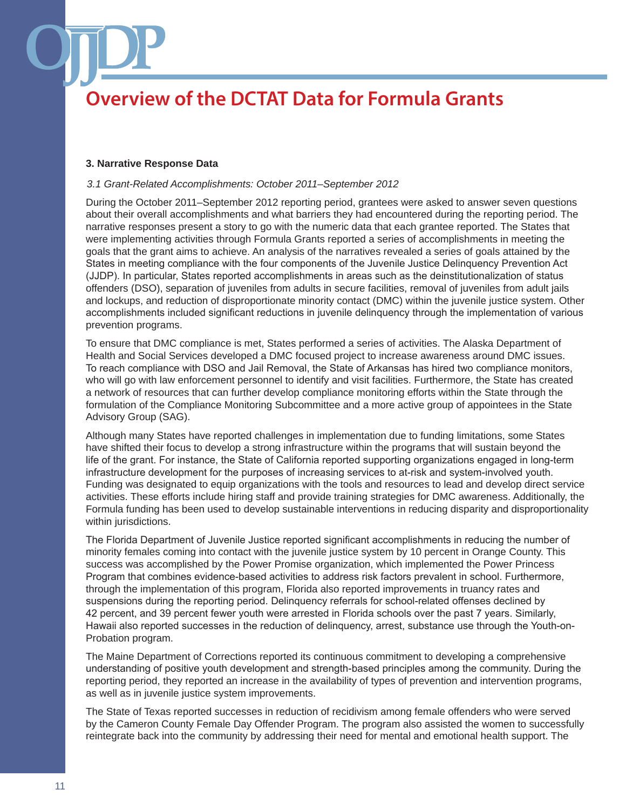#### **3. Narrative Response Data**

#### *3.1 Grant-Related Accomplishments: October 2011–September 2012*

During the October 2011–September 2012 reporting period, grantees were asked to answer seven questions about their overall accomplishments and what barriers they had encountered during the reporting period. The narrative responses present a story to go with the numeric data that each grantee reported. The States that were implementing activities through Formula Grants reported a series of accomplishments in meeting the goals that the grant aims to achieve. An analysis of the narratives revealed a series of goals attained by the States in meeting compliance with the four components of the Juvenile Justice Delinquency Prevention Act (JJDP). In particular, States reported accomplishments in areas such as the deinstitutionalization of status offenders (DSO), separation of juveniles from adults in secure facilities, removal of juveniles from adult jails and lockups, and reduction of disproportionate minority contact (DMC) within the juvenile justice system. Other accomplishments included significant reductions in juvenile delinquency through the implementation of various prevention programs.

To ensure that DMC compliance is met, States performed a series of activities. The Alaska Department of Health and Social Services developed a DMC focused project to increase awareness around DMC issues. To reach compliance with DSO and Jail Removal, the State of Arkansas has hired two compliance monitors, who will go with law enforcement personnel to identify and visit facilities. Furthermore, the State has created a network of resources that can further develop compliance monitoring efforts within the State through the formulation of the Compliance Monitoring Subcommittee and a more active group of appointees in the State Advisory Group (SAG).

Although many States have reported challenges in implementation due to funding limitations, some States have shifted their focus to develop a strong infrastructure within the programs that will sustain beyond the life of the grant. For instance, the State of California reported supporting organizations engaged in long-term infrastructure development for the purposes of increasing services to at-risk and system-involved youth. Funding was designated to equip organizations with the tools and resources to lead and develop direct service activities. These efforts include hiring staff and provide training strategies for DMC awareness. Additionally, the Formula funding has been used to develop sustainable interventions in reducing disparity and disproportionality within jurisdictions.

The Florida Department of Juvenile Justice reported significant accomplishments in reducing the number of minority females coming into contact with the juvenile justice system by 10 percent in Orange County. This success was accomplished by the Power Promise organization, which implemented the Power Princess Program that combines evidence-based activities to address risk factors prevalent in school. Furthermore, through the implementation of this program, Florida also reported improvements in truancy rates and suspensions during the reporting period. Delinquency referrals for school-related offenses declined by 42 percent, and 39 percent fewer youth were arrested in Florida schools over the past 7 years. Similarly, Hawaii also reported successes in the reduction of delinquency, arrest, substance use through the Youth-on-Probation program.

The Maine Department of Corrections reported its continuous commitment to developing a comprehensive understanding of positive youth development and strength-based principles among the community. During the reporting period, they reported an increase in the availability of types of prevention and intervention programs, as well as in juvenile justice system improvements.

The State of Texas reported successes in reduction of recidivism among female offenders who were served by the Cameron County Female Day Offender Program. The program also assisted the women to successfully reintegrate back into the community by addressing their need for mental and emotional health support. The